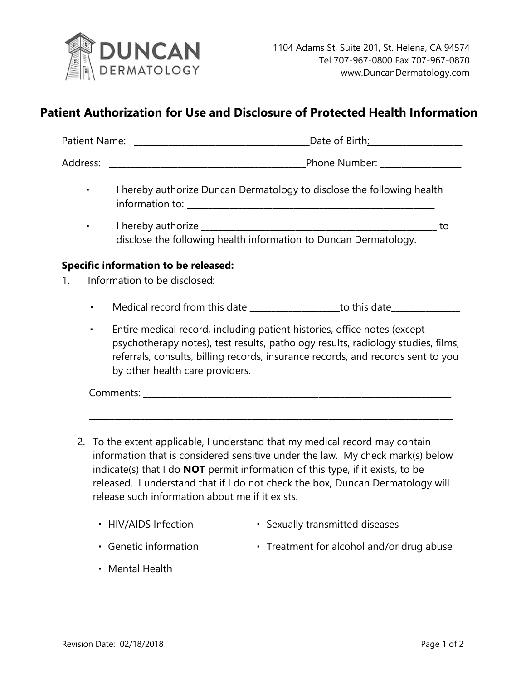

## **Patient Authorization for Use and Disclosure of Protected Health Information**

|                | Date of Birth: ____________________                                                                                                                                                                                                                                                 |
|----------------|-------------------------------------------------------------------------------------------------------------------------------------------------------------------------------------------------------------------------------------------------------------------------------------|
|                |                                                                                                                                                                                                                                                                                     |
|                | I hereby authorize Duncan Dermatology to disclose the following health                                                                                                                                                                                                              |
| $\blacksquare$ | $_{-}$ to<br>disclose the following health information to Duncan Dermatology.                                                                                                                                                                                                       |
|                | <b>Specific information to be released:</b>                                                                                                                                                                                                                                         |
| 1.             | Information to be disclosed:                                                                                                                                                                                                                                                        |
| ٠              | Medical record from this date _____________________to this date_________________                                                                                                                                                                                                    |
| ٠              | Entire medical record, including patient histories, office notes (except<br>psychotherapy notes), test results, pathology results, radiology studies, films,<br>referrals, consults, billing records, insurance records, and records sent to you<br>by other health care providers. |
|                |                                                                                                                                                                                                                                                                                     |
|                |                                                                                                                                                                                                                                                                                     |
|                | 2 To the extent applicable Lunderstand that my medical record may contain                                                                                                                                                                                                           |

- 2. To the extent applicable, I understand that my medical record may contain information that is considered sensitive under the law. My check mark(s) below indicate(s) that I do **NOT** permit information of this type, if it exists, to be released. I understand that if I do not check the box, Duncan Dermatology will release such information about me if it exists.
	- HIV/AIDS Infection Sexually transmitted diseases
	- Genetic information Treatment for alcohol and/or drug abuse
	- Mental Health